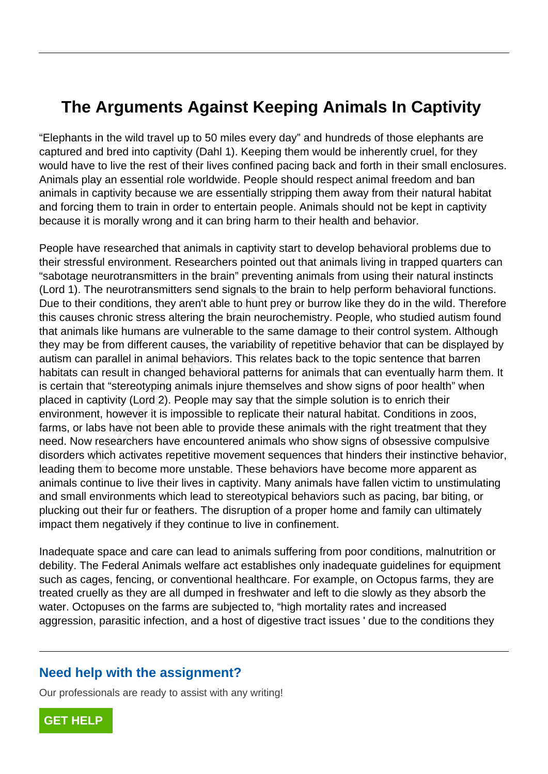## **The Arguments Against Keeping Animals In Captivity**

"Elephants in the wild travel up to 50 miles every day" and hundreds of those elephants are captured and bred into captivity (Dahl 1). Keeping them would be inherently cruel, for they would have to live the rest of their lives confined pacing back and forth in their small enclosures. Animals play an essential role worldwide. People should respect animal freedom and ban animals in captivity because we are essentially stripping them away from their natural habitat and forcing them to train in order to entertain people. Animals should not be kept in captivity because it is morally wrong and it can bring harm to their health and behavior.

People have researched that animals in captivity start to develop behavioral problems due to their stressful environment. Researchers pointed out that animals living in trapped quarters can "sabotage neurotransmitters in the brain" preventing animals from using their natural instincts (Lord 1). The neurotransmitters send signals to the brain to help perform behavioral functions. Due to their conditions, they aren't able to hunt prey or burrow like they do in the wild. Therefore this causes chronic stress altering the brain neurochemistry. People, who studied autism found that animals like humans are vulnerable to the same damage to their control system. Although they may be from different causes, the variability of repetitive behavior that can be displayed by autism can parallel in animal behaviors. This relates back to the topic sentence that barren habitats can result in changed behavioral patterns for animals that can eventually harm them. It is certain that "stereotyping animals injure themselves and show signs of poor health" when placed in captivity (Lord 2). People may say that the simple solution is to enrich their environment, however it is impossible to replicate their natural habitat. Conditions in zoos, farms, or labs have not been able to provide these animals with the right treatment that they need. Now researchers have encountered animals who show signs of obsessive compulsive disorders which activates repetitive movement sequences that hinders their instinctive behavior, leading them to become more unstable. These behaviors have become more apparent as animals continue to live their lives in captivity. Many animals have fallen victim to unstimulating and small environments which lead to stereotypical behaviors such as pacing, bar biting, or plucking out their fur or feathers. The disruption of a proper home and family can ultimately impact them negatively if they continue to live in confinement. The neurotransmitters send signals to the ir conditions, they aren't able to hunt pis chronic stress altering the brain neurousls like humans are vulnerable to the same from different causes, the variability parallel in an

Inadequate space and care can lead to animals suffering from poor conditions, malnutrition or debility. The Federal Animals welfare act establishes only inadequate guidelines for equipment such as cages, fencing, or conventional healthcare. For example, on Octopus farms, they are treated cruelly as they are all dumped in freshwater and left to die slowly as they absorb the water. Octopuses on the farms are subjected to, "high mortality rates and increased aggression, parasitic infection, and a host of digestive tract issues ' due to the conditions they

## **Need help with the assignment?**

Our professionals are ready to assist with any writing!

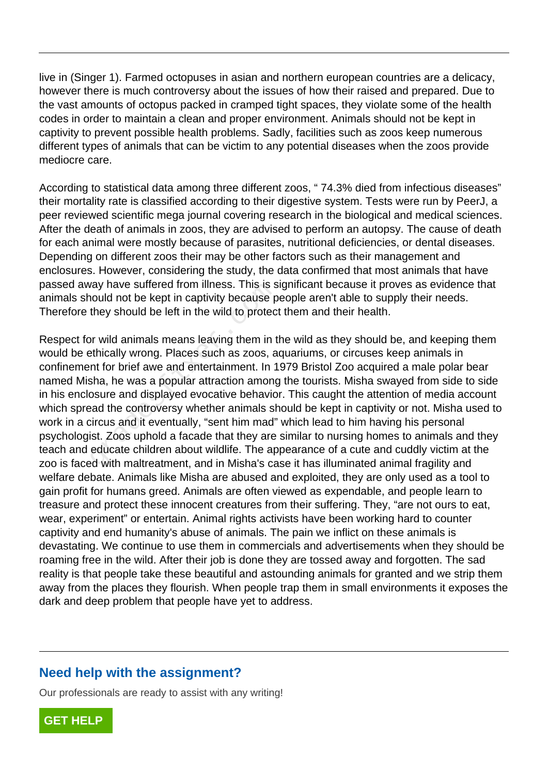live in (Singer 1). Farmed octopuses in asian and northern european countries are a delicacy, however there is much controversy about the issues of how their raised and prepared. Due to the vast amounts of octopus packed in cramped tight spaces, they violate some of the health codes in order to maintain a clean and proper environment. Animals should not be kept in captivity to prevent possible health problems. Sadly, facilities such as zoos keep numerous different types of animals that can be victim to any potential diseases when the zoos provide mediocre care.

According to statistical data among three different zoos, " 74.3% died from infectious diseases" their mortality rate is classified according to their digestive system. Tests were run by PeerJ, a peer reviewed scientific mega journal covering research in the biological and medical sciences. After the death of animals in zoos, they are advised to perform an autopsy. The cause of death for each animal were mostly because of parasites, nutritional deficiencies, or dental diseases. Depending on different zoos their may be other factors such as their management and enclosures. However, considering the study, the data confirmed that most animals that have passed away have suffered from illness. This is significant because it proves as evidence that animals should not be kept in captivity because people aren't able to supply their needs. Therefore they should be left in the wild to protect them and their health.

Respect for wild animals means leaving them in the wild as they should be, and keeping them would be ethically wrong. Places such as zoos, aquariums, or circuses keep animals in confinement for brief awe and entertainment. In 1979 Bristol Zoo acquired a male polar bear named Misha, he was a popular attraction among the tourists. Misha swayed from side to side in his enclosure and displayed evocative behavior. This caught the attention of media account which spread the controversy whether animals should be kept in captivity or not. Misha used to work in a circus and it eventually, "sent him mad" which lead to him having his personal psychologist. Zoos uphold a facade that they are similar to nursing homes to animals and they teach and educate children about wildlife. The appearance of a cute and cuddly victim at the zoo is faced with maltreatment, and in Misha's case it has illuminated animal fragility and welfare debate. Animals like Misha are abused and exploited, they are only used as a tool to gain profit for humans greed. Animals are often viewed as expendable, and people learn to treasure and protect these innocent creatures from their suffering. They, "are not ours to eat, wear, experiment" or entertain. Animal rights activists have been working hard to counter captivity and end humanity's abuse of animals. The pain we inflict on these animals is devastating. We continue to use them in commercials and advertisements when they should be roaming free in the wild. After their job is done they are tossed away and forgotten. The sad reality is that people take these beautiful and astounding animals for granted and we strip them away from the places they flourish. When people trap them in small environments it exposes the dark and deep problem that people have yet to address. All y have suitered from limess. This is s<br>and a not be kept in captivity because p<br>they should be left in the wild to protec<br>provided animals means leaving them in t<br>ethically wrong. Places such as zoos, a<br>nt for brief aw

## **Need help with the assignment?**

Our professionals are ready to assist with any writing!